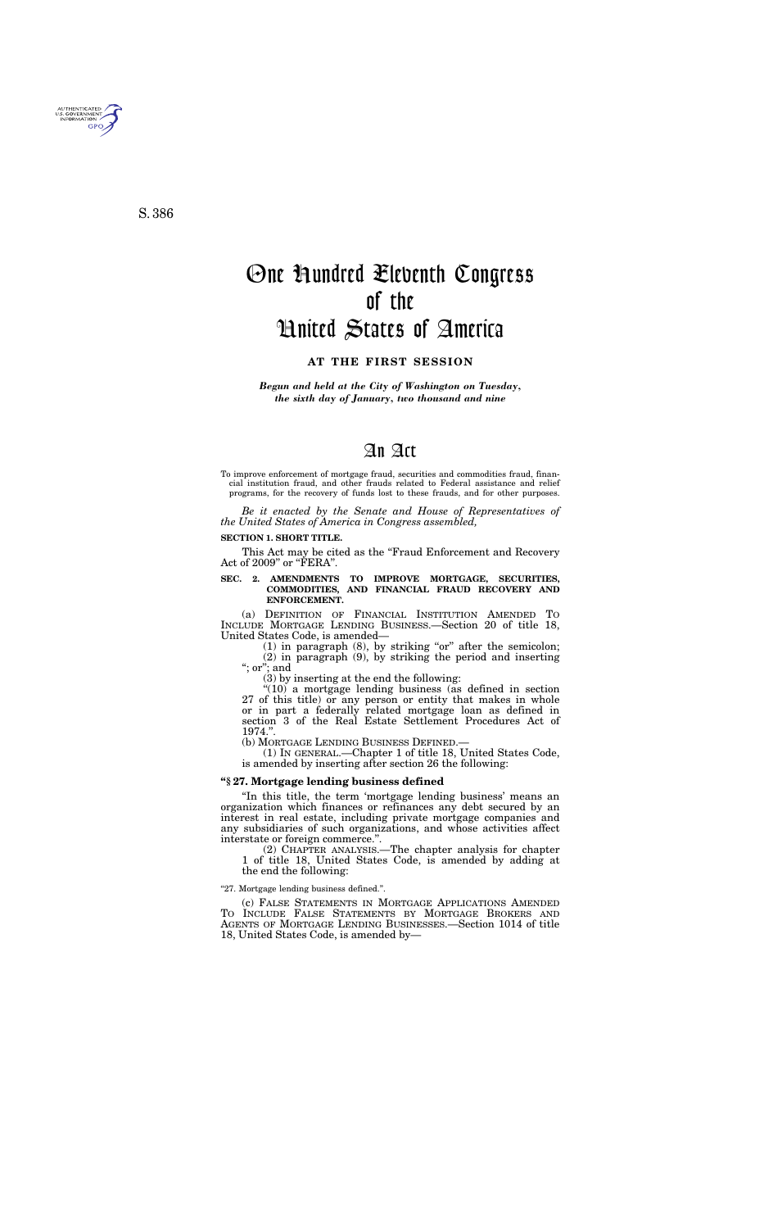*Begun and held at the City of Washington on Tuesday, the sixth day of January, two thousand and nine* 

# An Act

To improve enforcement of mortgage fraud, securities and commodities fraud, financial institution fraud, and other frauds related to Federal assistance and relief programs, for the recovery of funds lost to these frauds, and for other purposes.

*Be it enacted by the Senate and House of Representatives of the United States of America in Congress assembled,* 

#### **SECTION 1. SHORT TITLE.**

This Act may be cited as the "Fraud Enforcement and Recovery" Act of 2009" or "FERA".

#### **SEC. 2. AMENDMENTS TO IMPROVE MORTGAGE, SECURITIES, COMMODITIES, AND FINANCIAL FRAUD RECOVERY AND ENFORCEMENT.**

(a) DEFINITION OF FINANCIAL INSTITUTION AMENDED TO INCLUDE MORTGAGE LENDING BUSINESS.—Section 20 of title 18, United States Code, is amended—

 $(1)$  in paragraph  $(8)$ , by striking "or" after the semicolon; (2) in paragraph (9), by striking the period and inserting ''; or''; and

(3) by inserting at the end the following:

"(10) a mortgage lending business (as defined in section 27 of this title) or any person or entity that makes in whole or in part a federally related mortgage loan as defined in section 3 of the Real Estate Settlement Procedures Act of 1974.''.

(b) MORTGAGE LENDING BUSINESS DEFINED.—

(1) IN GENERAL.—Chapter 1 of title 18, United States Code, is amended by inserting after section 26 the following:

#### **''§ 27. Mortgage lending business defined**

''In this title, the term 'mortgage lending business' means an organization which finances or refinances any debt secured by an interest in real estate, including private mortgage companies and any subsidiaries of such organizations, and whose activities affect interstate or foreign commerce."

(2) CHAPTER ANALYSIS.—The chapter analysis for chapter 1 of title 18, United States Code, is amended by adding at the end the following:

#### ''27. Mortgage lending business defined.''.

(c) FALSE STATEMENTS IN MORTGAGE APPLICATIONS AMENDED TO INCLUDE FALSE STATEMENTS BY MORTGAGE BROKERS AND AGENTS OF MORTGAGE LENDING BUSINESSES.—Section 1014 of title 18, United States Code, is amended by—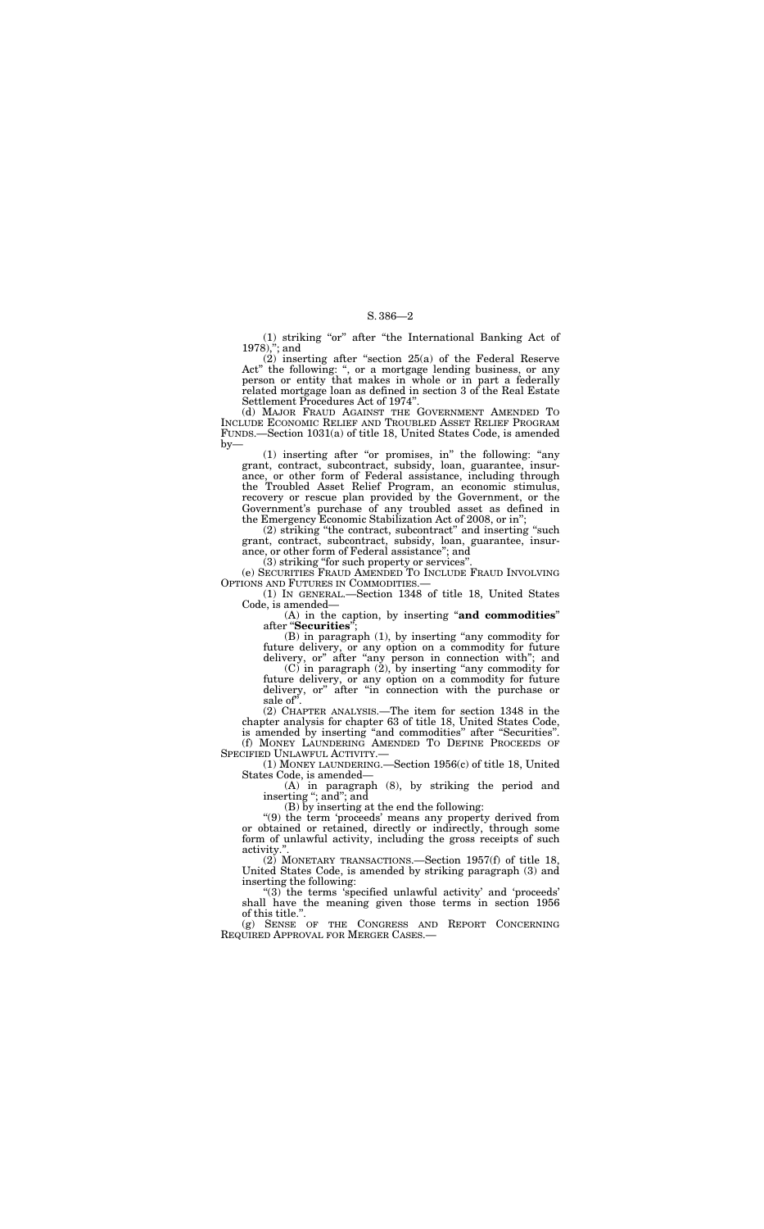(1) striking "or" after "the International Banking Act of 1978),''; and

 $(2)$  inserting after "section  $25(a)$  of the Federal Reserve Act" the following: ", or a mortgage lending business, or any person or entity that makes in whole or in part a federally related mortgage loan as defined in section 3 of the Real Estate Settlement Procedures Act of 1974''.

(d) MAJOR FRAUD AGAINST THE GOVERNMENT AMENDED TO INCLUDE ECONOMIC RELIEF AND TROUBLED ASSET RELIEF PROGRAM FUNDS.—Section 1031(a) of title 18, United States Code, is amended by—

(1) inserting after "or promises, in" the following: "any grant, contract, subcontract, subsidy, loan, guarantee, insurance, or other form of Federal assistance, including through the Troubled Asset Relief Program, an economic stimulus, recovery or rescue plan provided by the Government, or the Government's purchase of any troubled asset as defined in the Emergency Economic Stabilization Act of 2008, or in'';

(e) SECURITIES FRAUD AMENDED TO INCLUDE FRAUD INVOLVING OPTIONS AND FUTURES IN COMMODITIES.

> (B) in paragraph (1), by inserting "any commodity for future delivery, or any option on a commodity for future delivery, or" after "any person in connection with"; and (C) in paragraph (2), by inserting ''any commodity for future delivery, or any option on a commodity for future

(2) striking ''the contract, subcontract'' and inserting ''such grant, contract, subcontract, subsidy, loan, guarantee, insurance, or other form of Federal assistance''; and

(A) in paragraph (8), by striking the period and inserting "; and"; and

''(9) the term 'proceeds' means any property derived from or obtained or retained, directly or indirectly, through some form of unlawful activity, including the gross receipts of such activity."

(3) striking ''for such property or services''.

(1) IN GENERAL.—Section 1348 of title 18, United States Code, is amended—

(A) in the caption, by inserting ''**and commodities**'' after ''**Securities**'';

delivery, or'' after ''in connection with the purchase or sale of" (2) CHAPTER ANALYSIS.—The item for section 1348 in the

chapter analysis for chapter 63 of title 18, United States Code, is amended by inserting ''and commodities'' after ''Securities''. (f) MONEY LAUNDERING AMENDED TO DEFINE PROCEEDS OF

SPECIFIED UNLAWFUL ACTIVITY.

(1) MONEY LAUNDERING.—Section 1956(c) of title 18, United States Code, is amended—

(B) by inserting at the end the following:

(2) MONETARY TRANSACTIONS.—Section 1957(f) of title 18, United States Code, is amended by striking paragraph (3) and inserting the following:

" $(3)$  the terms 'specified unlawful activity' and 'proceeds' shall have the meaning given those terms in section 1956 of this title."

(g) SENSE OF THE CONGRESS AND REPORT CONCERNING REQUIRED APPROVAL FOR MERGER CASES.—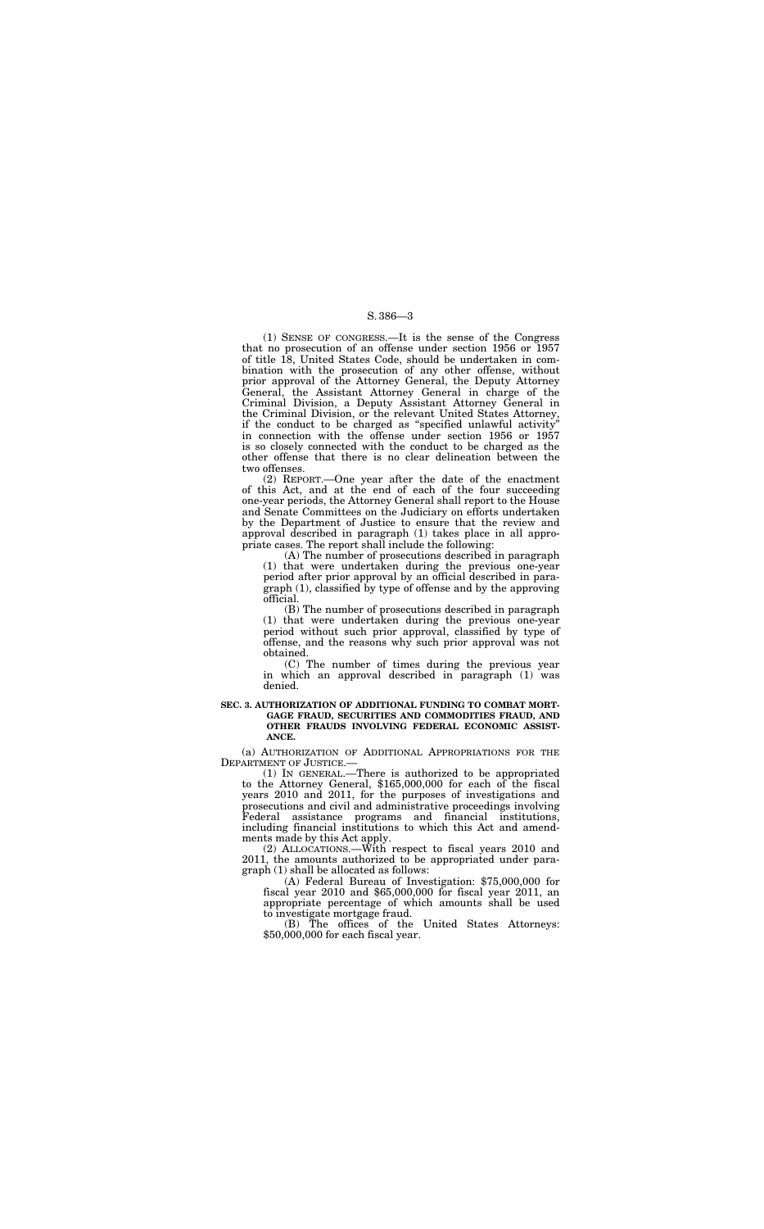(1) SENSE OF CONGRESS.—It is the sense of the Congress that no prosecution of an offense under section 1956 or 1957 of title 18, United States Code, should be undertaken in combination with the prosecution of any other offense, without prior approval of the Attorney General, the Deputy Attorney General, the Assistant Attorney General in charge of the Criminal Division, a Deputy Assistant Attorney General in the Criminal Division, or the relevant United States Attorney, if the conduct to be charged as ''specified unlawful activity'' in connection with the offense under section 1956 or 1957 is so closely connected with the conduct to be charged as the other offense that there is no clear delineation between the two offenses.

(2) REPORT.—One year after the date of the enactment of this Act, and at the end of each of the four succeeding one-year periods, the Attorney General shall report to the House and Senate Committees on the Judiciary on efforts undertaken by the Department of Justice to ensure that the review and approval described in paragraph (1) takes place in all appropriate cases. The report shall include the following:

(A) The number of prosecutions described in paragraph (1) that were undertaken during the previous one-year period after prior approval by an official described in paragraph (1), classified by type of offense and by the approving official.

(B) The number of prosecutions described in paragraph (1) that were undertaken during the previous one-year period without such prior approval, classified by type of offense, and the reasons why such prior approval was not obtained.

(C) The number of times during the previous year in which an approval described in paragraph (1) was denied.

#### **SEC. 3. AUTHORIZATION OF ADDITIONAL FUNDING TO COMBAT MORT-GAGE FRAUD, SECURITIES AND COMMODITIES FRAUD, AND OTHER FRAUDS INVOLVING FEDERAL ECONOMIC ASSIST-ANCE.**

(a) AUTHORIZATION OF ADDITIONAL APPROPRIATIONS FOR THE DEPARTMENT OF JUSTICE.—

(1) IN GENERAL.—There is authorized to be appropriated to the Attorney General, \$165,000,000 for each of the fiscal years 2010 and 2011, for the purposes of investigations and prosecutions and civil and administrative proceedings involving Federal assistance programs and financial institutions, including financial institutions to which this Act and amendments made by this Act apply.

(2) ALLOCATIONS.—With respect to fiscal years 2010 and 2011, the amounts authorized to be appropriated under paragraph (1) shall be allocated as follows:

(A) Federal Bureau of Investigation: \$75,000,000 for fiscal year 2010 and \$65,000,000 for fiscal year 2011, an appropriate percentage of which amounts shall be used to investigate mortgage fraud.

(B) The offices of the United States Attorneys: \$50,000,000 for each fiscal year.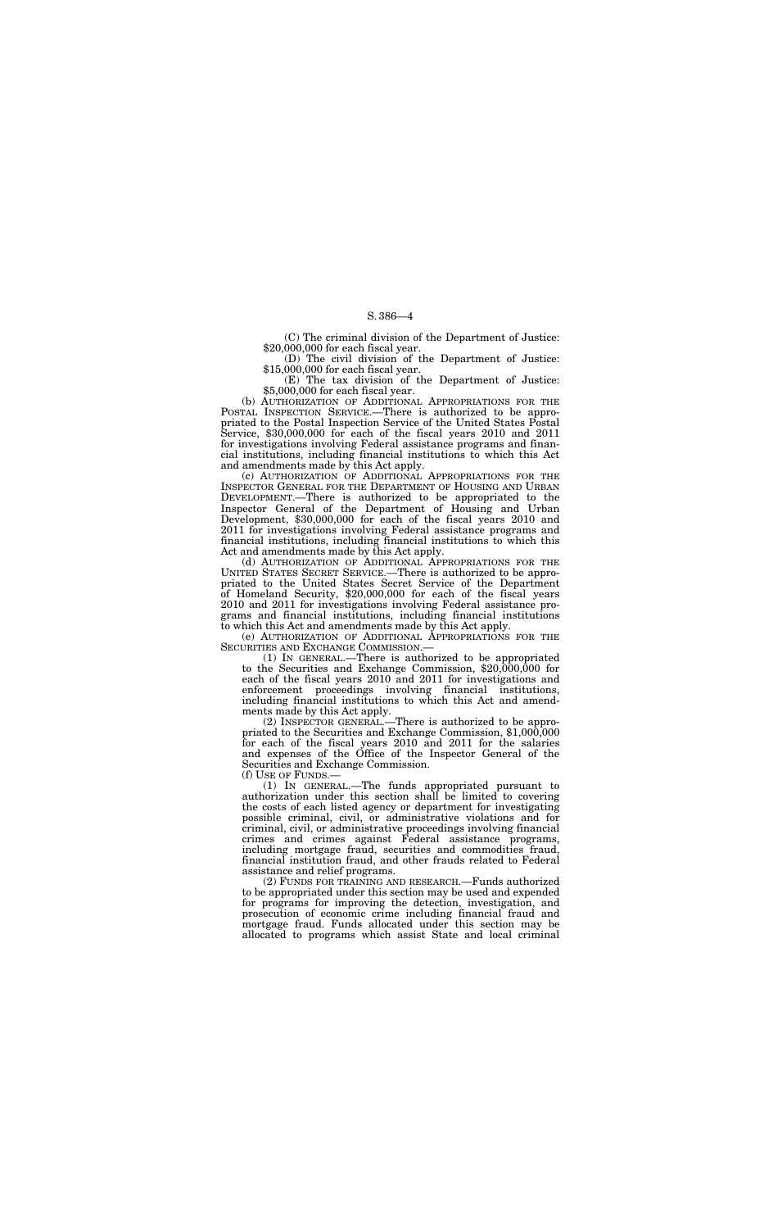(C) The criminal division of the Department of Justice: \$20,000,000 for each fiscal year.

(D) The civil division of the Department of Justice: \$15,000,000 for each fiscal year.

(E) The tax division of the Department of Justice: \$5,000,000 for each fiscal year.

(b) AUTHORIZATION OF ADDITIONAL APPROPRIATIONS FOR THE POSTAL INSPECTION SERVICE.—There is authorized to be appropriated to the Postal Inspection Service of the United States Postal Service, \$30,000,000 for each of the fiscal years 2010 and 2011 for investigations involving Federal assistance programs and financial institutions, including financial institutions to which this Act and amendments made by this Act apply.

(c) AUTHORIZATION OF ADDITIONAL APPROPRIATIONS FOR THE INSPECTOR GENERAL FOR THE DEPARTMENT OF HOUSING AND URBAN DEVELOPMENT.—There is authorized to be appropriated to the Inspector General of the Department of Housing and Urban Development, \$30,000,000 for each of the fiscal years 2010 and 2011 for investigations involving Federal assistance programs and financial institutions, including financial institutions to which this Act and amendments made by this Act apply.

(d) AUTHORIZATION OF ADDITIONAL APPROPRIATIONS FOR THE UNITED STATES SECRET SERVICE.—There is authorized to be appropriated to the United States Secret Service of the Department of Homeland Security, \$20,000,000 for each of the fiscal years 2010 and 2011 for investigations involving Federal assistance programs and financial institutions, including financial institutions to which this Act and amendments made by this Act apply.

(e) AUTHORIZATION OF ADDITIONAL APPROPRIATIONS FOR THE SECURITIES AND EXCHANGE COMMISSION.—

(1) IN GENERAL.—There is authorized to be appropriated to the Securities and Exchange Commission,  $$20,000,000$  for each of the fiscal years 2010 and 2011 for investigations and enforcement proceedings involving financial institutions, including financial institutions to which this Act and amendments made by this Act apply.

(2) INSPECTOR GENERAL.—There is authorized to be appropriated to the Securities and Exchange Commission,  $$1,000,000$ for each of the fiscal years 2010 and 2011 for the salaries and expenses of the Office of the Inspector General of the Securities and Exchange Commission.

(f) USE OF FUNDS.—

(1) IN GENERAL.—The funds appropriated pursuant to authorization under this section shall be limited to covering the costs of each listed agency or department for investigating possible criminal, civil, or administrative violations and for criminal, civil, or administrative proceedings involving financial crimes and crimes against Federal assistance programs, including mortgage fraud, securities and commodities fraud, financial institution fraud, and other frauds related to Federal assistance and relief programs.

(2) FUNDS FOR TRAINING AND RESEARCH.—Funds authorized to be appropriated under this section may be used and expended for programs for improving the detection, investigation, and prosecution of economic crime including financial fraud and mortgage fraud. Funds allocated under this section may be allocated to programs which assist State and local criminal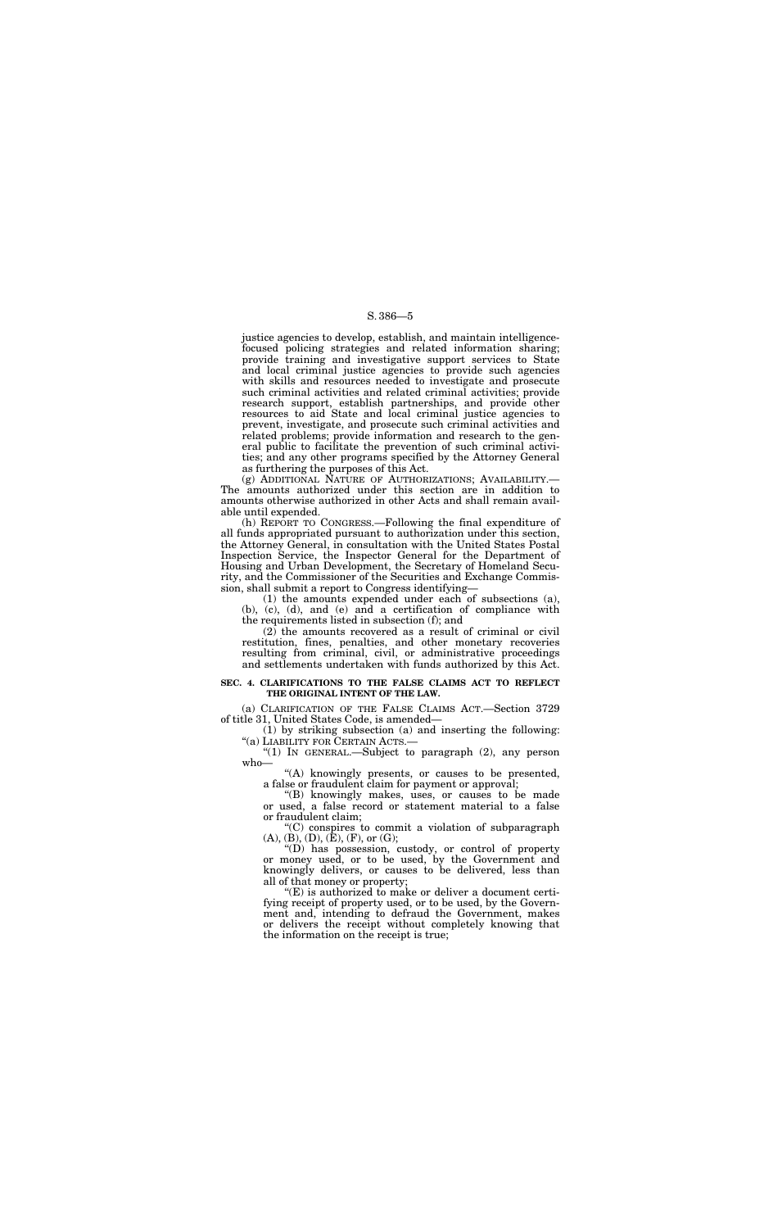justice agencies to develop, establish, and maintain intelligencefocused policing strategies and related information sharing; provide training and investigative support services to State and local criminal justice agencies to provide such agencies with skills and resources needed to investigate and prosecute such criminal activities and related criminal activities; provide research support, establish partnerships, and provide other resources to aid State and local criminal justice agencies to prevent, investigate, and prosecute such criminal activities and related problems; provide information and research to the general public to facilitate the prevention of such criminal activities; and any other programs specified by the Attorney General as furthering the purposes of this Act.

(g) ADDITIONAL NATURE OF AUTHORIZATIONS; AVAILABILITY.— The amounts authorized under this section are in addition to amounts otherwise authorized in other Acts and shall remain available until expended.

 $(2)$  the amounts recovered as a result of criminal or civil restitution, fines, penalties, and other monetary recoveries resulting from criminal, civil, or administrative proceedings and settlements undertaken with funds authorized by this Act.

(1) by striking subsection (a) and inserting the following: "(a) LIABILITY FOR CERTAIN ACTS.

"(1) IN GENERAL.—Subject to paragraph  $(2)$ , any person who—

''(C) conspires to commit a violation of subparagraph  $(A), (B), (D), (E), (F),$  or  $(G);$ 

(h) REPORT TO CONGRESS.—Following the final expenditure of all funds appropriated pursuant to authorization under this section, the Attorney General, in consultation with the United States Postal Inspection Service, the Inspector General for the Department of Housing and Urban Development, the Secretary of Homeland Security, and the Commissioner of the Securities and Exchange Commission, shall submit a report to Congress identifying—

(1) the amounts expended under each of subsections (a), (b), (c), (d), and (e) and a certification of compliance with the requirements listed in subsection (f); and

#### **SEC. 4. CLARIFICATIONS TO THE FALSE CLAIMS ACT TO REFLECT THE ORIGINAL INTENT OF THE LAW.**

(a) CLARIFICATION OF THE FALSE CLAIMS ACT.—Section 3729 of title 31, United States Code, is amended—

> ''(A) knowingly presents, or causes to be presented, a false or fraudulent claim for payment or approval;

> ''(B) knowingly makes, uses, or causes to be made or used, a false record or statement material to a false or fraudulent claim;

> ''(D) has possession, custody, or control of property or money used, or to be used, by the Government and knowingly delivers, or causes to be delivered, less than all of that money or property;

> ''(E) is authorized to make or deliver a document certifying receipt of property used, or to be used, by the Government and, intending to defraud the Government, makes or delivers the receipt without completely knowing that the information on the receipt is true;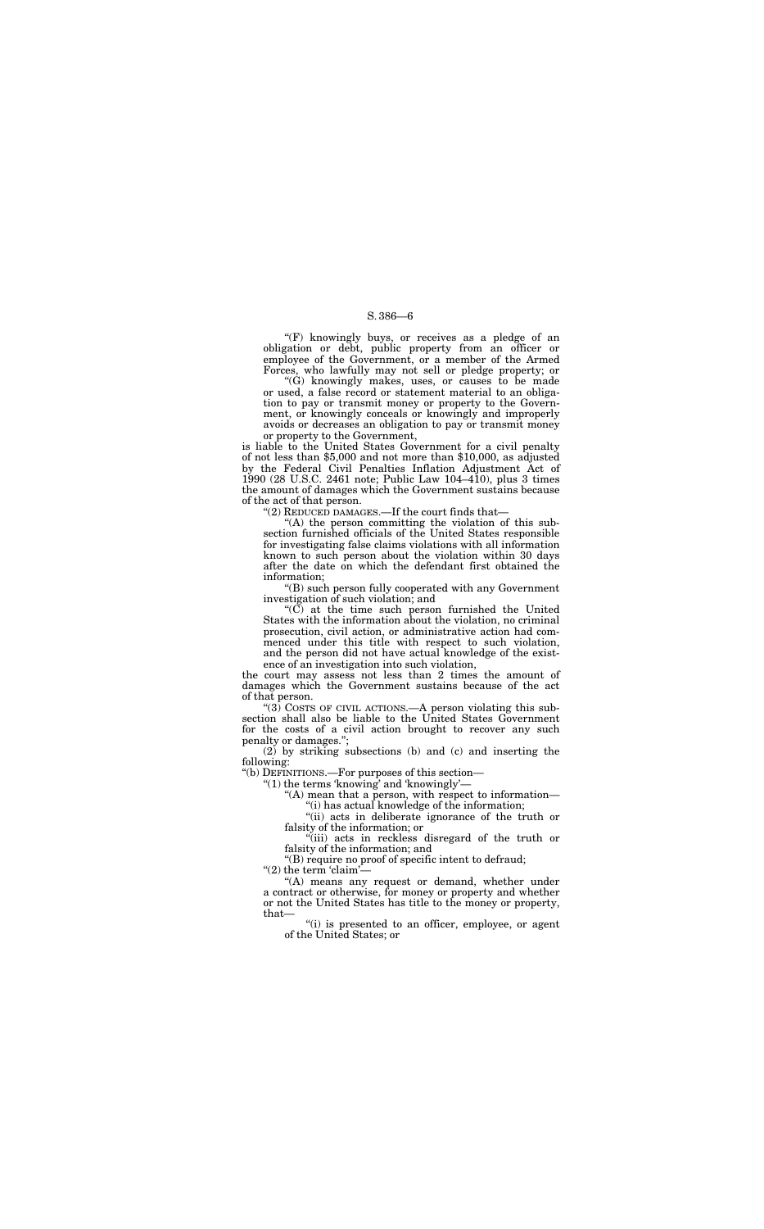''(F) knowingly buys, or receives as a pledge of an obligation or debt, public property from an officer or employee of the Government, or a member of the Armed Forces, who lawfully may not sell or pledge property; or

''(G) knowingly makes, uses, or causes to be made or used, a false record or statement material to an obligation to pay or transmit money or property to the Government, or knowingly conceals or knowingly and improperly avoids or decreases an obligation to pay or transmit money or property to the Government,

is liable to the United States Government for a civil penalty of not less than \$5,000 and not more than \$10,000, as adjusted by the Federal Civil Penalties Inflation Adjustment Act of 1990 (28 U.S.C. 2461 note; Public Law 104–410), plus 3 times the amount of damages which the Government sustains because of the act of that person.

" $(2)$  REDUCED DAMAGES.—If the court finds that-

" $(3)$  COSTS OF CIVIL ACTIONS.—A person violating this subsection shall also be liable to the United States Government for the costs of a civil action brought to recover any such penalty or damages.'';

''(A) the person committing the violation of this subsection furnished officials of the United States responsible for investigating false claims violations with all information known to such person about the violation within 30 days after the date on which the defendant first obtained the information;

"(ii) acts in deliberate ignorance of the truth or falsity of the information; or

''(B) such person fully cooperated with any Government investigation of such violation; and

"(A) means any request or demand, whether under a contract or otherwise, for money or property and whether or not the United States has title to the money or property, that—

''(C) at the time such person furnished the United States with the information about the violation, no criminal prosecution, civil action, or administrative action had commenced under this title with respect to such violation, and the person did not have actual knowledge of the existence of an investigation into such violation,

the court may assess not less than 2 times the amount of damages which the Government sustains because of the act of that person.

(2) by striking subsections (b) and (c) and inserting the following:

''(b) DEFINITIONS.—For purposes of this section—

"(1) the terms 'knowing' and 'knowingly'-

"(A) mean that a person, with respect to information-"(i) has actual knowledge of the information;

''(iii) acts in reckless disregard of the truth or falsity of the information; and

''(B) require no proof of specific intent to defraud;

" $(2)$  the term 'claim'-

''(i) is presented to an officer, employee, or agent of the United States; or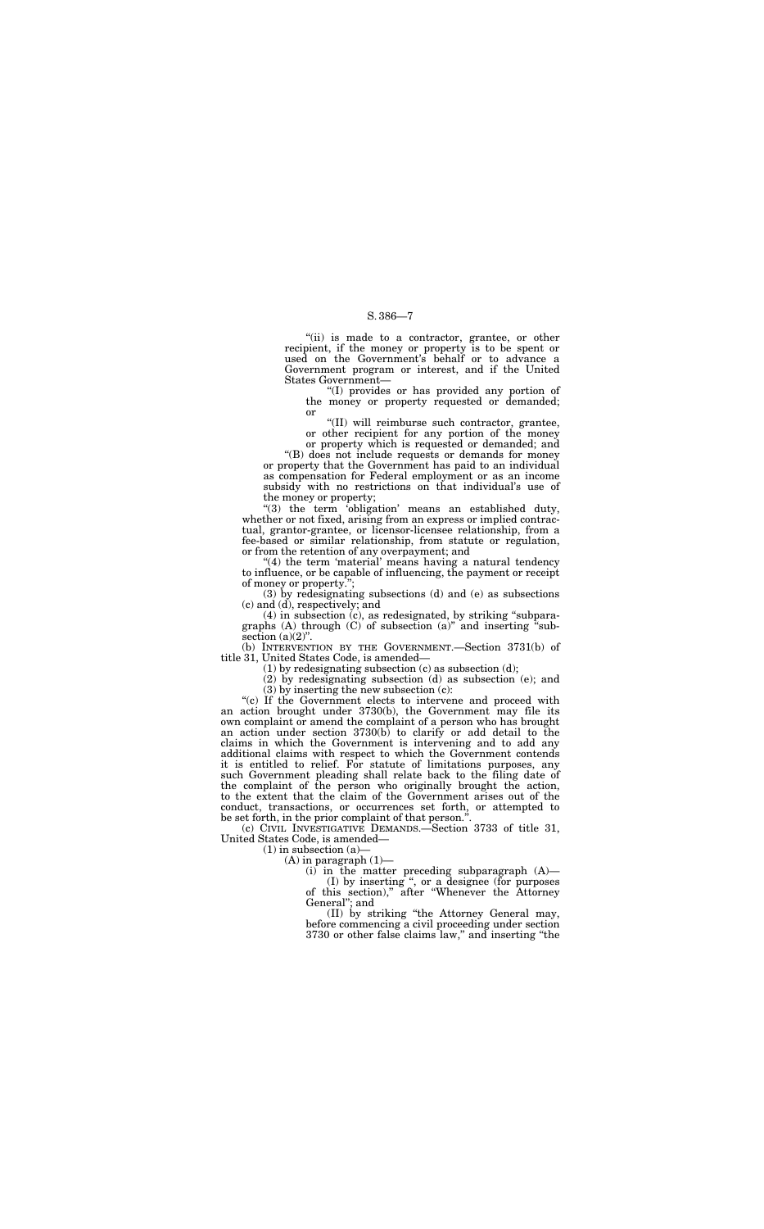"(ii) is made to a contractor, grantee, or other recipient, if the money or property is to be spent or used on the Government's behalf or to advance a Government program or interest, and if the United States Government—

''(I) provides or has provided any portion of the money or property requested or demanded; or

''(II) will reimburse such contractor, grantee, or other recipient for any portion of the money

or property which is requested or demanded; and ''(B) does not include requests or demands for money

"(4) the term 'material' means having a natural tendency to influence, or be capable of influencing, the payment or receipt of money or property.'';

or property that the Government has paid to an individual as compensation for Federal employment or as an income subsidy with no restrictions on that individual's use of the money or property;

(4) in subsection (c), as redesignated, by striking ''subparagraphs (A) through  $(C)$  of subsection (a)" and inserting "subsection  $(a)(2)$ ".

''(3) the term 'obligation' means an established duty, whether or not fixed, arising from an express or implied contractual, grantor-grantee, or licensor-licensee relationship, from a fee-based or similar relationship, from statute or regulation, or from the retention of any overpayment; and

(3) by redesignating subsections (d) and (e) as subsections (c) and (d), respectively; and

(b) INTERVENTION BY THE GOVERNMENT.—Section 3731(b) of title 31, United States Code, is amended—

(1) by redesignating subsection (c) as subsection (d);

(2) by redesignating subsection (d) as subsection (e); and (3) by inserting the new subsection (c):

"(c) If the Government elects to intervene and proceed with an action brought under 3730(b), the Government may file its own complaint or amend the complaint of a person who has brought an action under section 3730(b) to clarify or add detail to the claims in which the Government is intervening and to add any additional claims with respect to which the Government contends it is entitled to relief. For statute of limitations purposes, any such Government pleading shall relate back to the filing date of the complaint of the person who originally brought the action, to the extent that the claim of the Government arises out of the conduct, transactions, or occurrences set forth, or attempted to be set forth, in the prior complaint of that person.'

(c) CIVIL INVESTIGATIVE DEMANDS.—Section 3733 of title 31, United States Code, is amended—

 $(1)$  in subsection  $(a)$ 

(A) in paragraph (1)—

(i) in the matter preceding subparagraph (A)— (I) by inserting '', or a designee (for purposes of this section),'' after ''Whenever the Attorney General''; and

(II) by striking ''the Attorney General may, before commencing a civil proceeding under section 3730 or other false claims law,'' and inserting ''the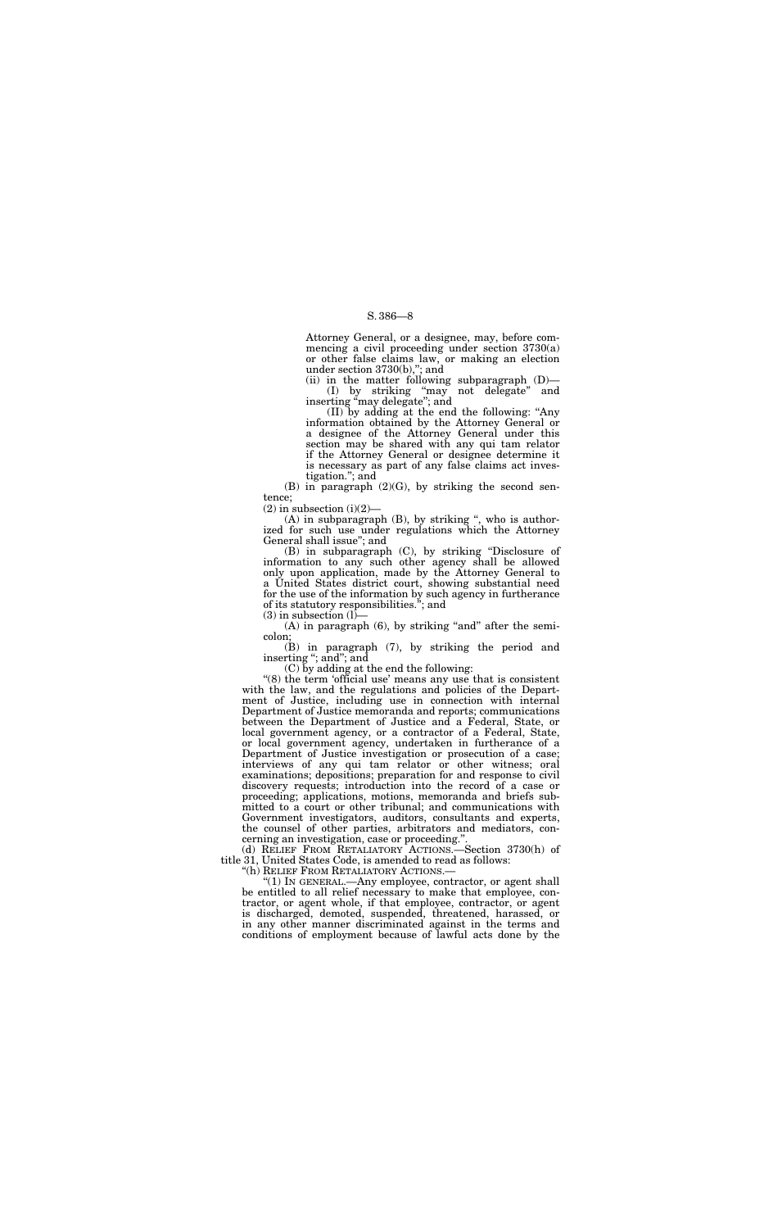Attorney General, or a designee, may, before commencing a civil proceeding under section 3730(a) or other false claims law, or making an election under section 3730(b),''; and

(ii) in the matter following subparagraph (D)— (I) by striking ''may not delegate'' and inserting ''may delegate''; and

 $(B)$  in paragraph  $(2)(G)$ , by striking the second sentence;

 $(2)$  in subsection  $(i)(2)$ —

(A) in subparagraph (B), by striking ", who is authorized for such use under regulations which the Attorney General shall issue''; and

(II) by adding at the end the following: ''Any information obtained by the Attorney General or a designee of the Attorney General under this section may be shared with any qui tam relator if the Attorney General or designee determine it is necessary as part of any false claims act investigation.''; and

 $(A)$  in paragraph  $(6)$ , by striking "and" after the semicolon;

(B) in paragraph (7), by striking the period and inserting "; and"; and

(B) in subparagraph (C), by striking ''Disclosure of information to any such other agency shall be allowed only upon application, made by the Attorney General to a United States district court, showing substantial need for the use of the information by such agency in furtherance of its statutory responsibilities.''; and

 $(3)$  in subsection  $(l)$ –

"(8) the term 'official use' means any use that is consistent with the law, and the regulations and policies of the Department of Justice, including use in connection with internal Department of Justice memoranda and reports; communications between the Department of Justice and a Federal, State, or local government agency, or a contractor of a Federal, State, or local government agency, undertaken in furtherance of a Department of Justice investigation or prosecution of a case; interviews of any qui tam relator or other witness; oral examinations; depositions; preparation for and response to civil discovery requests; introduction into the record of a case or proceeding; applications, motions, memoranda and briefs submitted to a court or other tribunal; and communications with Government investigators, auditors, consultants and experts, the counsel of other parties, arbitrators and mediators, concerning an investigation, case or proceeding.''.

(C) by adding at the end the following:

" $(1)$  In GENERAL.—Any employee, contractor, or agent shall be entitled to all relief necessary to make that employee, contractor, or agent whole, if that employee, contractor, or agent is discharged, demoted, suspended, threatened, harassed, or in any other manner discriminated against in the terms and conditions of employment because of lawful acts done by the

(d) RELIEF FROM RETALIATORY ACTIONS.—Section 3730(h) of title 31, United States Code, is amended to read as follows: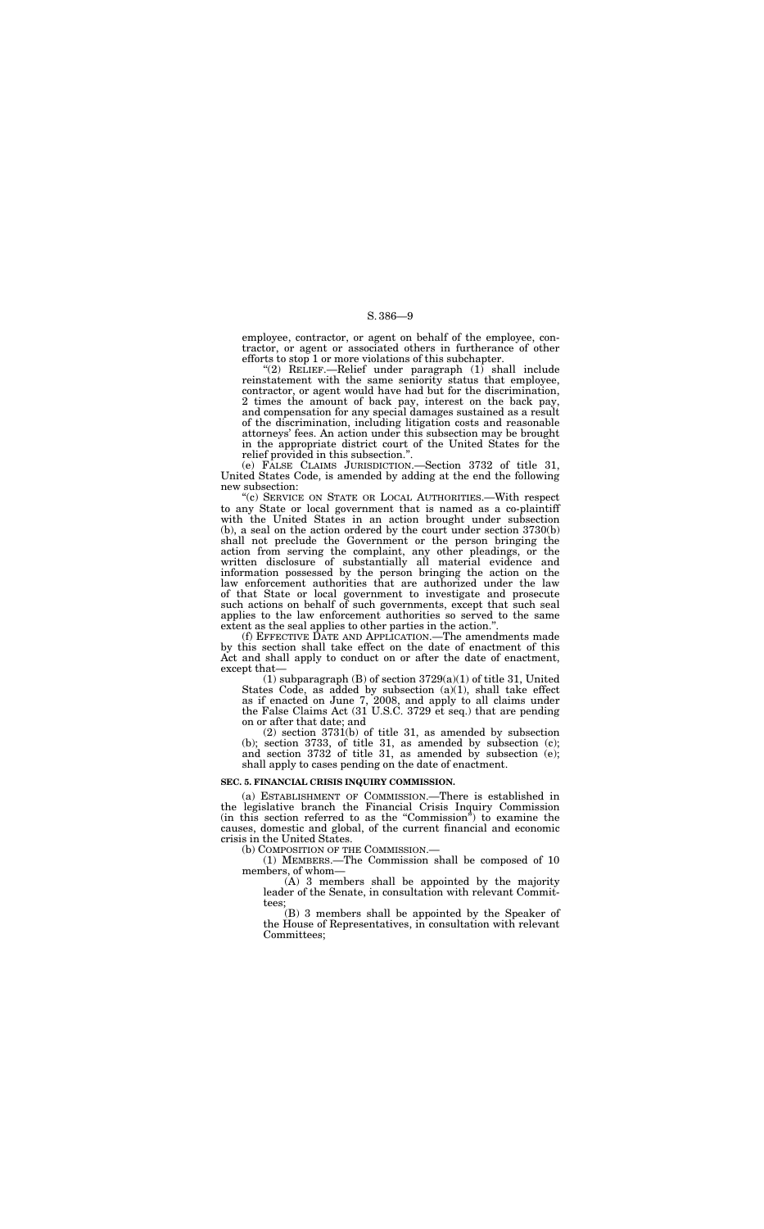employee, contractor, or agent on behalf of the employee, contractor, or agent or associated others in furtherance of other efforts to stop 1 or more violations of this subchapter.

''(c) SERVICE ON STATE OR LOCAL AUTHORITIES.—With respect to any State or local government that is named as a co-plaintiff with the United States in an action brought under subsection (b), a seal on the action ordered by the court under section 3730(b) shall not preclude the Government or the person bringing the action from serving the complaint, any other pleadings, or the written disclosure of substantially all material evidence and information possessed by the person bringing the action on the law enforcement authorities that are authorized under the law of that State or local government to investigate and prosecute such actions on behalf of such governments, except that such seal applies to the law enforcement authorities so served to the same extent as the seal applies to other parties in the action."

''(2) RELIEF.—Relief under paragraph (1) shall include reinstatement with the same seniority status that employee, contractor, or agent would have had but for the discrimination, 2 times the amount of back pay, interest on the back pay, and compensation for any special damages sustained as a result of the discrimination, including litigation costs and reasonable attorneys' fees. An action under this subsection may be brought in the appropriate district court of the United States for the relief provided in this subsection.''.

(e) FALSE CLAIMS JURISDICTION.—Section 3732 of title 31, United States Code, is amended by adding at the end the following new subsection:

(1) subparagraph  $(B)$  of section  $3729(a)(1)$  of title 31, United States Code, as added by subsection  $(a)(1)$ , shall take effect as if enacted on June 7, 2008, and apply to all claims under the False Claims Act (31 U.S.C. 3729 et seq.) that are pending on or after that date; and

(1) MEMBERS.—The Commission shall be composed of  $10$ members, of whom—

(f) EFFECTIVE DATE AND APPLICATION.—The amendments made by this section shall take effect on the date of enactment of this Act and shall apply to conduct on or after the date of enactment, except that—

(2) section 3731(b) of title 31, as amended by subsection (b); section 3733, of title 31, as amended by subsection (c); and section 3732 of title 31, as amended by subsection (e); shall apply to cases pending on the date of enactment.

#### **SEC. 5. FINANCIAL CRISIS INQUIRY COMMISSION.**

(a) ESTABLISHMENT OF COMMISSION.—There is established in the legislative branch the Financial Crisis Inquiry Commission (in this section referred to as the ''Commission'') to examine the causes, domestic and global, of the current financial and economic crisis in the United States.

(A) 3 members shall be appointed by the majority leader of the Senate, in consultation with relevant Committees;

(B) 3 members shall be appointed by the Speaker of the House of Representatives, in consultation with relevant Committees;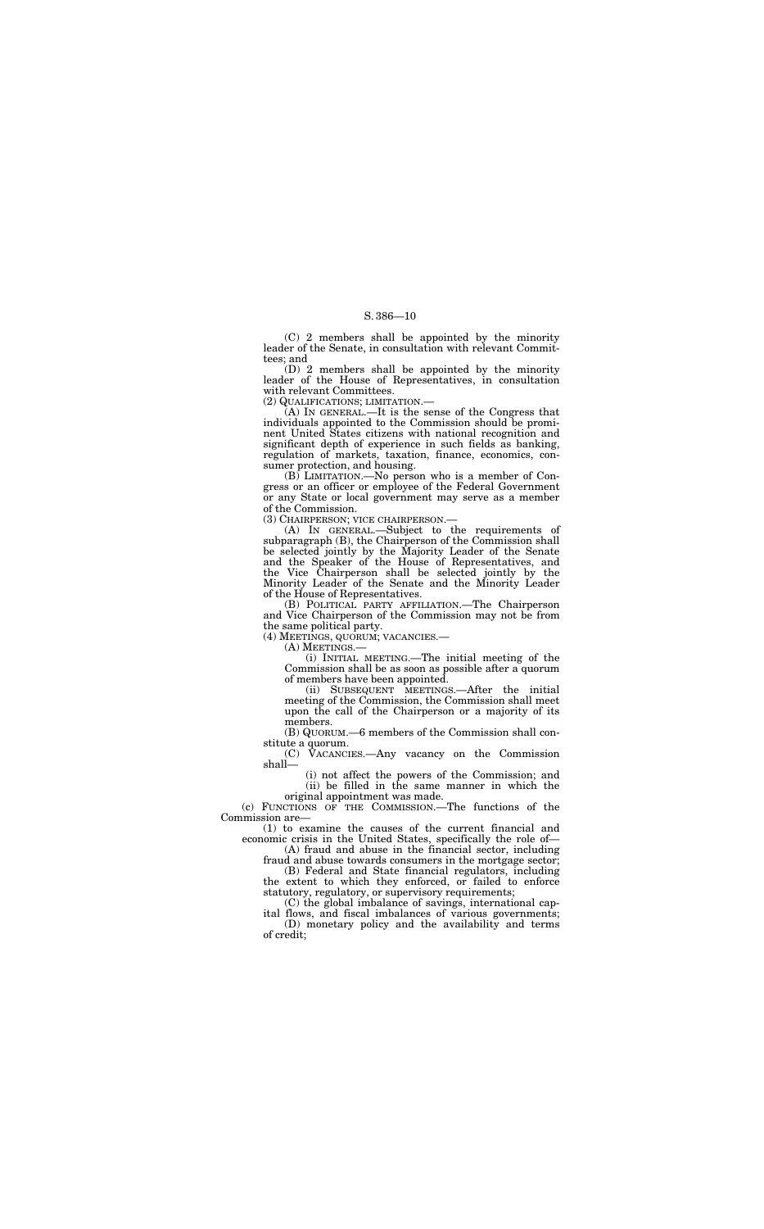(C) 2 members shall be appointed by the minority leader of the Senate, in consultation with relevant Committees; and

(D) 2 members shall be appointed by the minority leader of the House of Representatives, in consultation with relevant Committees.

(2) QUALIFICATIONS; LIMITATION.—

(A) IN GENERAL.—It is the sense of the Congress that individuals appointed to the Commission should be prominent United States citizens with national recognition and significant depth of experience in such fields as banking, regulation of markets, taxation, finance, economics, consumer protection, and housing.

(B) LIMITATION.—No person who is a member of Congress or an officer or employee of the Federal Government or any State or local government may serve as a member of the Commission.

(3) CHAIRPERSON; VICE CHAIRPERSON.—

(A) IN GENERAL.—Subject to the requirements of subparagraph (B), the Chairperson of the Commission shall be selected jointly by the Majority Leader of the Senate and the Speaker of the House of Representatives, and the Vice Chairperson shall be selected jointly by the Minority Leader of the Senate and the Minority Leader of the House of Representatives.

(B) POLITICAL PARTY AFFILIATION.—The Chairperson and Vice Chairperson of the Commission may not be from the same political party.

(4) MEETINGS, QUORUM; VACANCIES.—

(A) MEETINGS.—

(i) INITIAL MEETING.—The initial meeting of the Commission shall be as soon as possible after a quorum of members have been appointed.

(ii) SUBSEQUENT MEETINGS.—After the initial meeting of the Commission, the Commission shall meet upon the call of the Chairperson or a majority of its members.

(B) QUORUM.—6 members of the Commission shall constitute a quorum.

(C) VACANCIES.—Any vacancy on the Commission shall—

(i) not affect the powers of the Commission; and (ii) be filled in the same manner in which the

original appointment was made. (c) FUNCTIONS OF THE COMMISSION.—The functions of the Commission are—

(1) to examine the causes of the current financial and economic crisis in the United States, specifically the role of—

(A) fraud and abuse in the financial sector, including fraud and abuse towards consumers in the mortgage sector;

(B) Federal and State financial regulators, including the extent to which they enforced, or failed to enforce

statutory, regulatory, or supervisory requirements; (C) the global imbalance of savings, international cap-

ital flows, and fiscal imbalances of various governments; (D) monetary policy and the availability and terms of credit;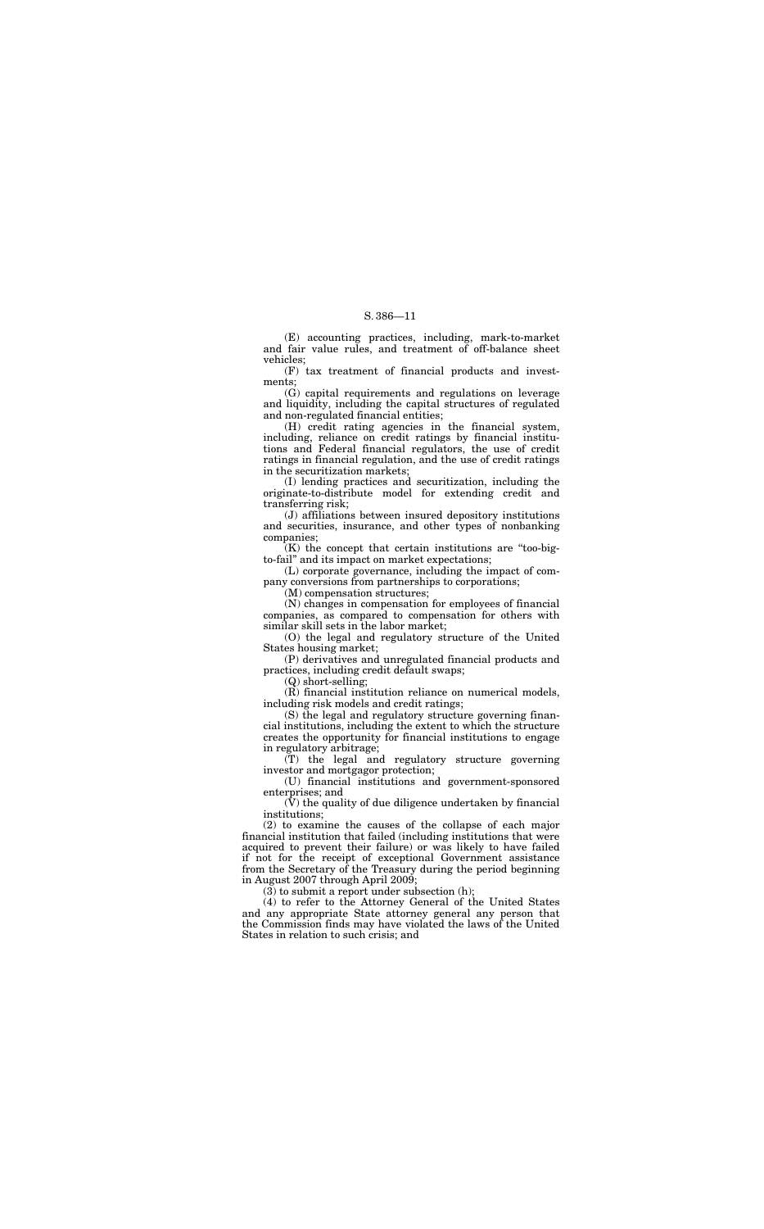(E) accounting practices, including, mark-to-market and fair value rules, and treatment of off-balance sheet vehicles;

(F) tax treatment of financial products and investments;

(G) capital requirements and regulations on leverage and liquidity, including the capital structures of regulated and non-regulated financial entities;

(H) credit rating agencies in the financial system, including, reliance on credit ratings by financial institutions and Federal financial regulators, the use of credit ratings in financial regulation, and the use of credit ratings in the securitization markets;

 $(K)$  the concept that certain institutions are "too-bigto-fail'' and its impact on market expectations;

(I) lending practices and securitization, including the originate-to-distribute model for extending credit and transferring risk;

(J) affiliations between insured depository institutions and securities, insurance, and other types of nonbanking companies;

(L) corporate governance, including the impact of company conversions from partnerships to corporations;

(M) compensation structures;

(N) changes in compensation for employees of financial companies, as compared to compensation for others with similar skill sets in the labor market;

(O) the legal and regulatory structure of the United States housing market;

(P) derivatives and unregulated financial products and practices, including credit default swaps;

(Q) short-selling;

(R) financial institution reliance on numerical models, including risk models and credit ratings;

(S) the legal and regulatory structure governing financial institutions, including the extent to which the structure creates the opportunity for financial institutions to engage in regulatory arbitrage;

(T) the legal and regulatory structure governing investor and mortgagor protection;

(U) financial institutions and government-sponsored enterprises; and

(V) the quality of due diligence undertaken by financial institutions;

(2) to examine the causes of the collapse of each major financial institution that failed (including institutions that were acquired to prevent their failure) or was likely to have failed if not for the receipt of exceptional Government assistance from the Secretary of the Treasury during the period beginning in August 2007 through April 2009;

(3) to submit a report under subsection (h);

(4) to refer to the Attorney General of the United States and any appropriate State attorney general any person that the Commission finds may have violated the laws of the United States in relation to such crisis; and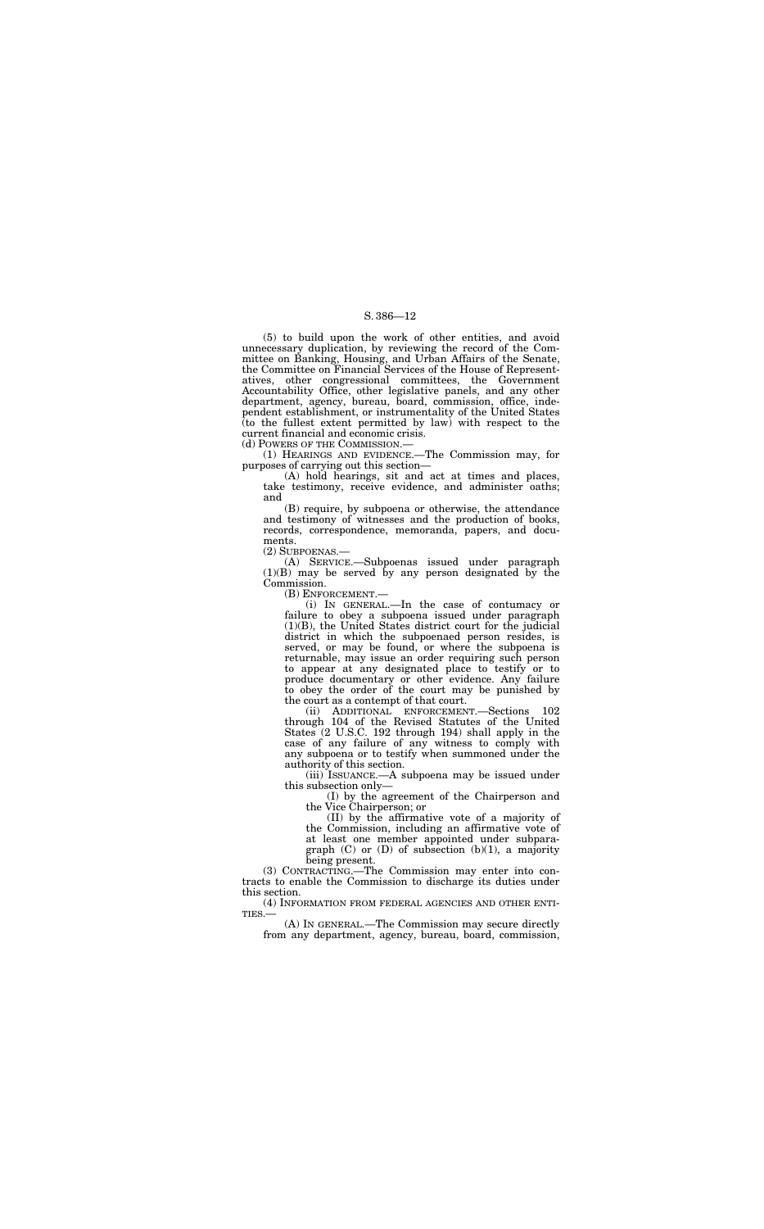(5) to build upon the work of other entities, and avoid unnecessary duplication, by reviewing the record of the Committee on Banking, Housing, and Urban Affairs of the Senate, the Committee on Financial Services of the House of Representatives, other congressional committees, the Government Accountability Office, other legislative panels, and any other department, agency, bureau, board, commission, office, independent establishment, or instrumentality of the United States (to the fullest extent permitted by law) with respect to the current financial and economic crisis.

(d) POWERS OF THE COMMISSION.—

(1) HEARINGS AND EVIDENCE.—The Commission may, for purposes of carrying out this section—

(A) hold hearings, sit and act at times and places, take testimony, receive evidence, and administer oaths; and

(B) require, by subpoena or otherwise, the attendance and testimony of witnesses and the production of books, records, correspondence, memoranda, papers, and documents.

(2) SUBPOENAS.—

(A) SERVICE.—Subpoenas issued under paragraph (1)(B) may be served by any person designated by the Commission.

(B) ENFORCEMENT.—

(3) CONTRACTING.—The Commission may enter into contracts to enable the Commission to discharge its duties under this section.<br>(4) INFORMATION FROM FEDERAL AGENCIES AND OTHER ENTI-

TIES.— (A) IN GENERAL.—The Commission may secure directly from any department, agency, bureau, board, commission,

(i) IN GENERAL.—In the case of contumacy or failure to obey a subpoena issued under paragraph (1)(B), the United States district court for the judicial district in which the subpoenaed person resides, is served, or may be found, or where the subpoena is returnable, may issue an order requiring such person to appear at any designated place to testify or to produce documentary or other evidence. Any failure to obey the order of the court may be punished by the court as a contempt of that court.

(ii) ADDITIONAL ENFORCEMENT.—Sections 102 through 104 of the Revised Statutes of the United States (2 U.S.C. 192 through 194) shall apply in the case of any failure of any witness to comply with any subpoena or to testify when summoned under the authority of this section.

(iii) ISSUANCE.—A subpoena may be issued under this subsection only—

(I) by the agreement of the Chairperson and the Vice Chairperson; or

(II) by the affirmative vote of a majority of the Commission, including an affirmative vote of at least one member appointed under subparagraph (C) or (D) of subsection (b)(1), a majority being present.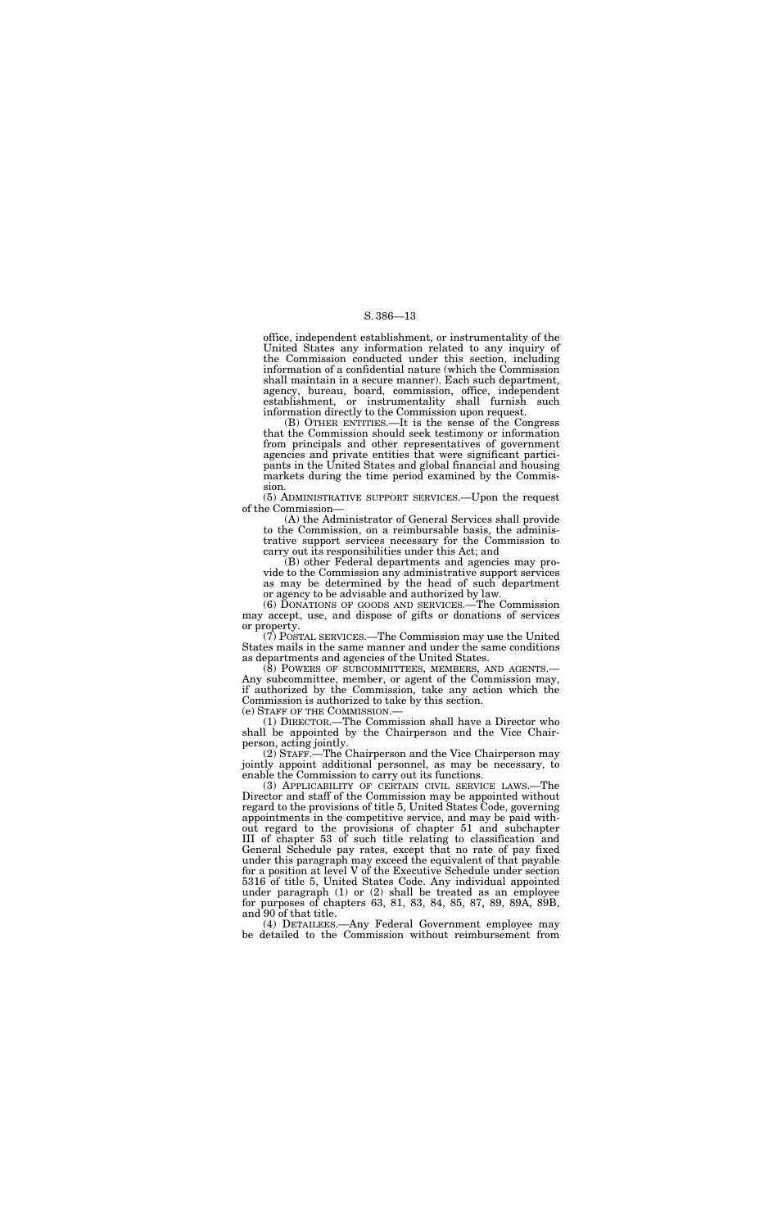office, independent establishment, or instrumentality of the United States any information related to any inquiry of the Commission conducted under this section, including information of a confidential nature (which the Commission shall maintain in a secure manner). Each such department, agency, bureau, board, commission, office, independent establishment, or instrumentality shall furnish such information directly to the Commission upon request.

(B) OTHER ENTITIES.—It is the sense of the Congress that the Commission should seek testimony or information from principals and other representatives of government agencies and private entities that were significant participants in the United States and global financial and housing markets during the time period examined by the Commission.

(5) ADMINISTRATIVE SUPPORT SERVICES.—Upon the request of the Commission—

(A) the Administrator of General Services shall provide to the Commission, on a reimbursable basis, the administrative support services necessary for the Commission to carry out its responsibilities under this Act; and

(B) other Federal departments and agencies may provide to the Commission any administrative support services as may be determined by the head of such department or agency to be advisable and authorized by law.

(6) DONATIONS OF GOODS AND SERVICES.—The Commission may accept, use, and dispose of gifts or donations of services or property.

(7) POSTAL SERVICES.—The Commission may use the United States mails in the same manner and under the same conditions as departments and agencies of the United States.

(8) POWERS OF SUBCOMMITTEES, MEMBERS, AND AGENTS.— Any subcommittee, member, or agent of the Commission may, if authorized by the Commission, take any action which the Commission is authorized to take by this section.

(e) STAFF OF THE COMMISSION.—

(1) DIRECTOR.—The Commission shall have a Director who shall be appointed by the Chairperson and the Vice Chairperson, acting jointly.

(2) STAFF.—The Chairperson and the Vice Chairperson may jointly appoint additional personnel, as may be necessary, to enable the Commission to carry out its functions.

(3) APPLICABILITY OF CERTAIN CIVIL SERVICE LAWS.—The Director and staff of the Commission may be appointed without regard to the provisions of title 5, United States Code, governing appointments in the competitive service, and may be paid without regard to the provisions of chapter 51 and subchapter III of chapter 53 of such title relating to classification and General Schedule pay rates, except that no rate of pay fixed under this paragraph may exceed the equivalent of that payable for a position at level V of the Executive Schedule under section 5316 of title 5, United States Code. Any individual appointed under paragraph (1) or (2) shall be treated as an employee for purposes of chapters 63, 81, 83, 84, 85, 87, 89, 89A, 89B, and 90 of that title.

(4) DETAILEES.—Any Federal Government employee may be detailed to the Commission without reimbursement from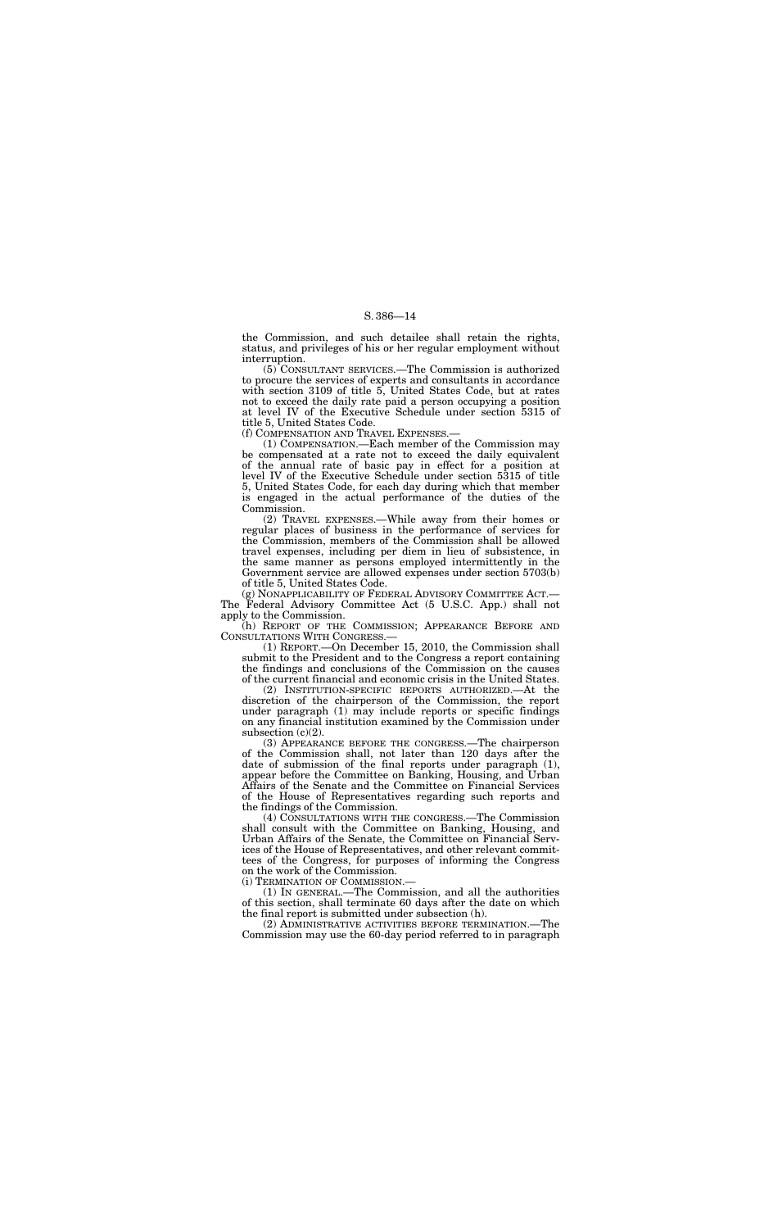the Commission, and such detailee shall retain the rights, status, and privileges of his or her regular employment without interruption.

(5) CONSULTANT SERVICES.—The Commission is authorized to procure the services of experts and consultants in accordance with section 3109 of title 5, United States Code, but at rates not to exceed the daily rate paid a person occupying a position at level IV of the Executive Schedule under section 5315 of title 5, United States Code.

(f) COMPENSATION AND TRAVEL EXPENSES.—

(1) COMPENSATION.—Each member of the Commission may be compensated at a rate not to exceed the daily equivalent of the annual rate of basic pay in effect for a position at level IV of the Executive Schedule under section 5315 of title 5, United States Code, for each day during which that member is engaged in the actual performance of the duties of the Commission.

(2) INSTITUTION-SPECIFIC REPORTS AUTHORIZED.—At the discretion of the chairperson of the Commission, the report under paragraph (1) may include reports or specific findings on any financial institution examined by the Commission under subsection  $(c)(2)$ .

(2) TRAVEL EXPENSES.—While away from their homes or regular places of business in the performance of services for the Commission, members of the Commission shall be allowed travel expenses, including per diem in lieu of subsistence, in the same manner as persons employed intermittently in the Government service are allowed expenses under section 5703(b) of title 5, United States Code.

(g) NONAPPLICABILITY OF FEDERAL ADVISORY COMMITTEE ACT.— The Federal Advisory Committee Act (5 U.S.C. App.) shall not apply to the Commission.

(h) REPORT OF THE COMMISSION; APPEARANCE BEFORE AND CONSULTATIONS WITH CONGRESS.—

(1) REPORT.—On December 15, 2010, the Commission shall submit to the President and to the Congress a report containing the findings and conclusions of the Commission on the causes of the current financial and economic crisis in the United States.

(3) APPEARANCE BEFORE THE CONGRESS.—The chairperson of the Commission shall, not later than 120 days after the date of submission of the final reports under paragraph (1), appear before the Committee on Banking, Housing, and Urban Affairs of the Senate and the Committee on Financial Services of the House of Representatives regarding such reports and the findings of the Commission.

(4) CONSULTATIONS WITH THE CONGRESS.—The Commission shall consult with the Committee on Banking, Housing, and Urban Affairs of the Senate, the Committee on Financial Services of the House of Representatives, and other relevant committees of the Congress, for purposes of informing the Congress on the work of the Commission.

(i) TERMINATION OF COMMISSION.—

(1) IN GENERAL.—The Commission, and all the authorities of this section, shall terminate 60 days after the date on which the final report is submitted under subsection (h).

(2) ADMINISTRATIVE ACTIVITIES BEFORE TERMINATION.—The Commission may use the 60-day period referred to in paragraph